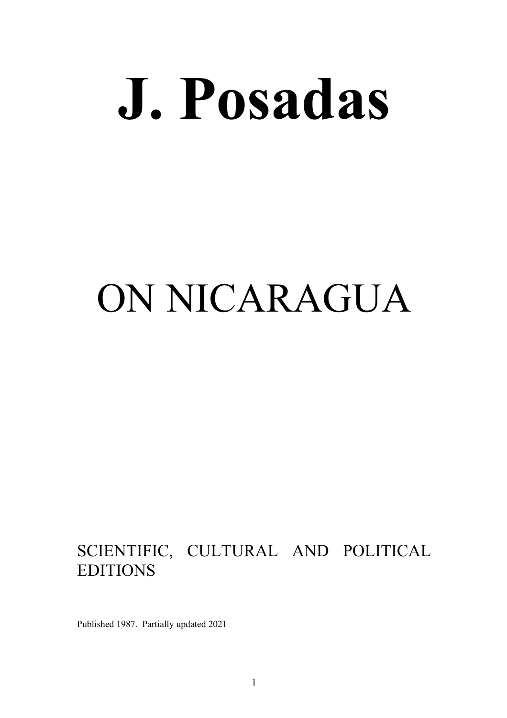# **J. Posadas**

## ON NICARAGUA

## SCIENTIFIC, CULTURAL AND POLITICAL EDITIONS

Published 1987. Partially updated 2021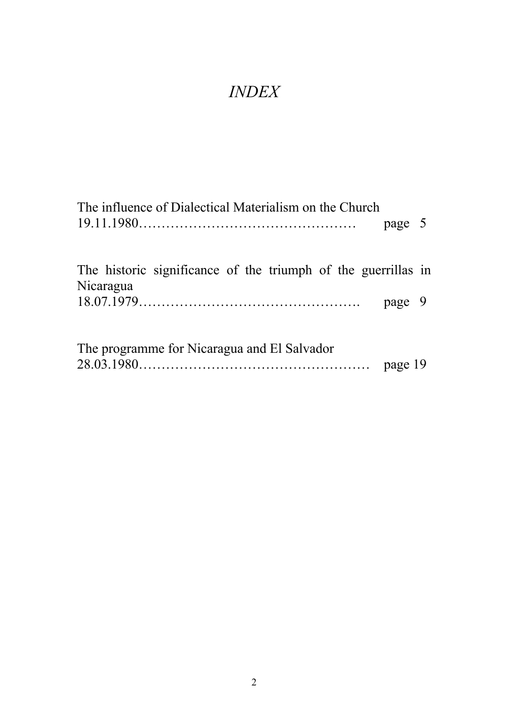## *INDEX*

| The influence of Dialectical Materialism on the Church                     |         |  |
|----------------------------------------------------------------------------|---------|--|
|                                                                            | page 5  |  |
| The historic significance of the triumph of the guerrillas in<br>Nicaragua |         |  |
|                                                                            | page 9  |  |
| The programme for Nicaragua and El Salvador                                | page 19 |  |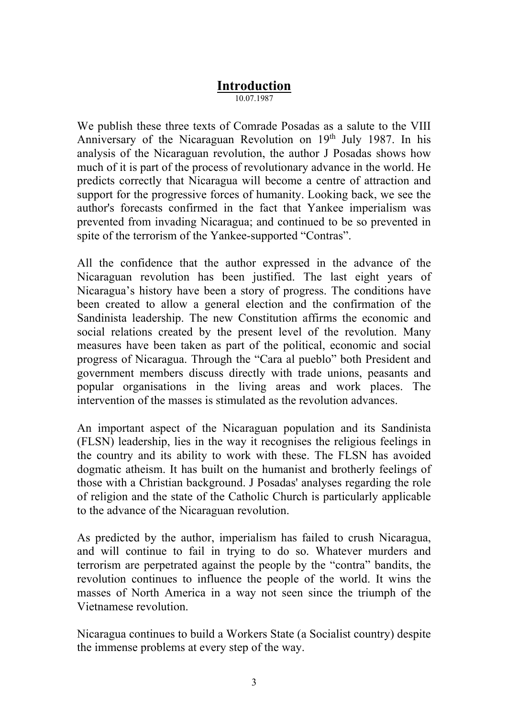#### **Introduction**

10.07.1987

We publish these three texts of Comrade Posadas as a salute to the VIII Anniversary of the Nicaraguan Revolution on 19<sup>th</sup> July 1987. In his analysis of the Nicaraguan revolution, the author J Posadas shows how much of it is part of the process of revolutionary advance in the world. He predicts correctly that Nicaragua will become a centre of attraction and support for the progressive forces of humanity. Looking back, we see the author's forecasts confirmed in the fact that Yankee imperialism was prevented from invading Nicaragua; and continued to be so prevented in spite of the terrorism of the Yankee-supported "Contras".

All the confidence that the author expressed in the advance of the Nicaraguan revolution has been justified. The last eight years of Nicaragua's history have been a story of progress. The conditions have been created to allow a general election and the confirmation of the Sandinista leadership. The new Constitution affirms the economic and social relations created by the present level of the revolution. Many measures have been taken as part of the political, economic and social progress of Nicaragua. Through the "Cara al pueblo" both President and government members discuss directly with trade unions, peasants and popular organisations in the living areas and work places. The intervention of the masses is stimulated as the revolution advances.

An important aspect of the Nicaraguan population and its Sandinista (FLSN) leadership, lies in the way it recognises the religious feelings in the country and its ability to work with these. The FLSN has avoided dogmatic atheism. It has built on the humanist and brotherly feelings of those with a Christian background. J Posadas' analyses regarding the role of religion and the state of the Catholic Church is particularly applicable to the advance of the Nicaraguan revolution.

As predicted by the author, imperialism has failed to crush Nicaragua, and will continue to fail in trying to do so. Whatever murders and terrorism are perpetrated against the people by the "contra" bandits, the revolution continues to influence the people of the world. It wins the masses of North America in a way not seen since the triumph of the Vietnamese revolution.

Nicaragua continues to build a Workers State (a Socialist country) despite the immense problems at every step of the way.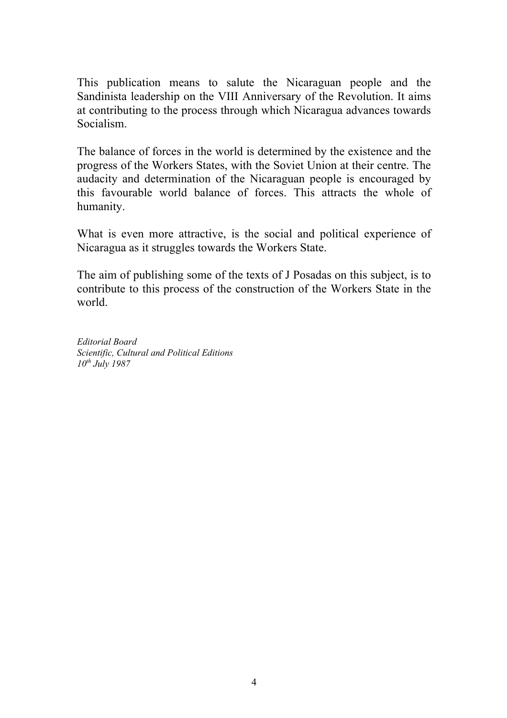This publication means to salute the Nicaraguan people and the Sandinista leadership on the VIII Anniversary of the Revolution. It aims at contributing to the process through which Nicaragua advances towards Socialism.

The balance of forces in the world is determined by the existence and the progress of the Workers States, with the Soviet Union at their centre. The audacity and determination of the Nicaraguan people is encouraged by this favourable world balance of forces. This attracts the whole of humanity.

What is even more attractive, is the social and political experience of Nicaragua as it struggles towards the Workers State.

The aim of publishing some of the texts of J Posadas on this subject, is to contribute to this process of the construction of the Workers State in the world.

*Editorial Board Scientific, Cultural and Political Editions 10th July 1987*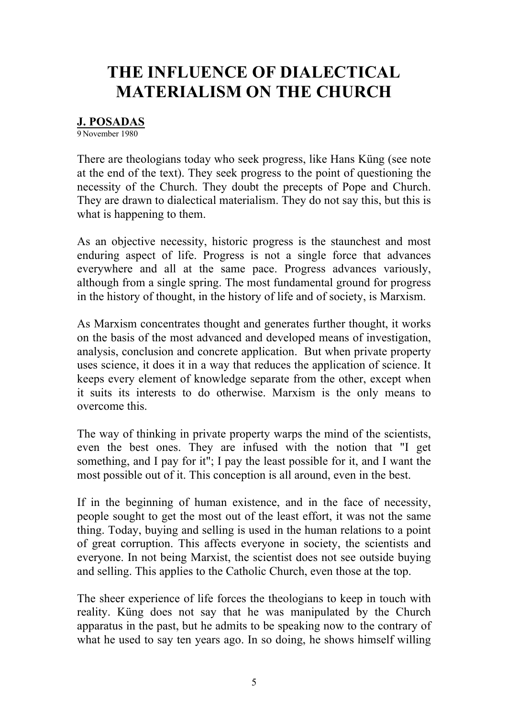### **THE INFLUENCE OF DIALECTICAL MATERIALISM ON THE CHURCH**

#### **J. POSADAS**

9 November 1980

There are theologians today who seek progress, like Hans Küng (see note at the end of the text). They seek progress to the point of questioning the necessity of the Church. They doubt the precepts of Pope and Church. They are drawn to dialectical materialism. They do not say this, but this is what is happening to them.

As an objective necessity, historic progress is the staunchest and most enduring aspect of life. Progress is not a single force that advances everywhere and all at the same pace. Progress advances variously, although from a single spring. The most fundamental ground for progress in the history of thought, in the history of life and of society, is Marxism.

As Marxism concentrates thought and generates further thought, it works on the basis of the most advanced and developed means of investigation, analysis, conclusion and concrete application. But when private property uses science, it does it in a way that reduces the application of science. It keeps every element of knowledge separate from the other, except when it suits its interests to do otherwise. Marxism is the only means to overcome this.

The way of thinking in private property warps the mind of the scientists, even the best ones. They are infused with the notion that "I get something, and I pay for it"; I pay the least possible for it, and I want the most possible out of it. This conception is all around, even in the best.

If in the beginning of human existence, and in the face of necessity, people sought to get the most out of the least effort, it was not the same thing. Today, buying and selling is used in the human relations to a point of great corruption. This affects everyone in society, the scientists and everyone. In not being Marxist, the scientist does not see outside buying and selling. This applies to the Catholic Church, even those at the top.

The sheer experience of life forces the theologians to keep in touch with reality. Küng does not say that he was manipulated by the Church apparatus in the past, but he admits to be speaking now to the contrary of what he used to say ten years ago. In so doing, he shows himself willing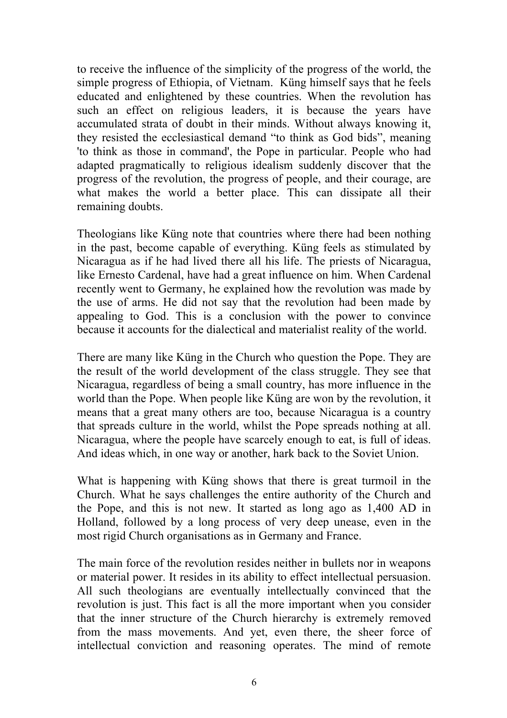to receive the influence of the simplicity of the progress of the world, the simple progress of Ethiopia, of Vietnam. Küng himself says that he feels educated and enlightened by these countries. When the revolution has such an effect on religious leaders, it is because the years have accumulated strata of doubt in their minds. Without always knowing it, they resisted the ecclesiastical demand "to think as God bids", meaning 'to think as those in command', the Pope in particular. People who had adapted pragmatically to religious idealism suddenly discover that the progress of the revolution, the progress of people, and their courage, are what makes the world a better place. This can dissipate all their remaining doubts.

Theologians like Küng note that countries where there had been nothing in the past, become capable of everything. Küng feels as stimulated by Nicaragua as if he had lived there all his life. The priests of Nicaragua, like Ernesto Cardenal, have had a great influence on him. When Cardenal recently went to Germany, he explained how the revolution was made by the use of arms. He did not say that the revolution had been made by appealing to God. This is a conclusion with the power to convince because it accounts for the dialectical and materialist reality of the world.

There are many like Küng in the Church who question the Pope. They are the result of the world development of the class struggle. They see that Nicaragua, regardless of being a small country, has more influence in the world than the Pope. When people like Küng are won by the revolution, it means that a great many others are too, because Nicaragua is a country that spreads culture in the world, whilst the Pope spreads nothing at all. Nicaragua, where the people have scarcely enough to eat, is full of ideas. And ideas which, in one way or another, hark back to the Soviet Union.

What is happening with Küng shows that there is great turmoil in the Church. What he says challenges the entire authority of the Church and the Pope, and this is not new. It started as long ago as 1,400 AD in Holland, followed by a long process of very deep unease, even in the most rigid Church organisations as in Germany and France.

The main force of the revolution resides neither in bullets nor in weapons or material power. It resides in its ability to effect intellectual persuasion. All such theologians are eventually intellectually convinced that the revolution is just. This fact is all the more important when you consider that the inner structure of the Church hierarchy is extremely removed from the mass movements. And yet, even there, the sheer force of intellectual conviction and reasoning operates. The mind of remote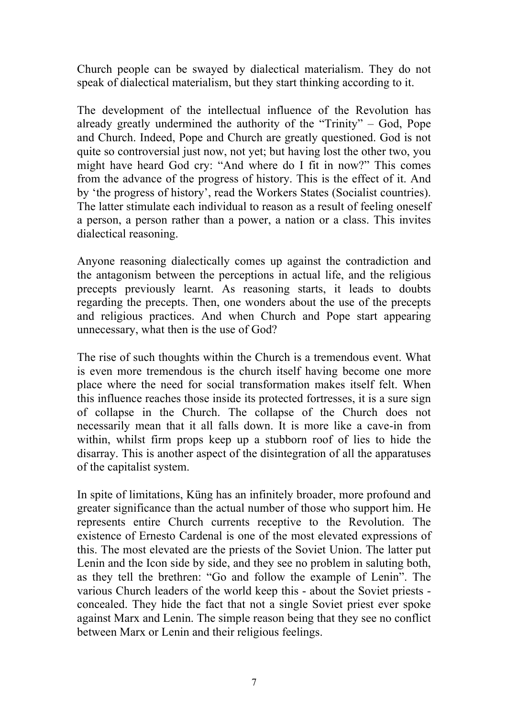Church people can be swayed by dialectical materialism. They do not speak of dialectical materialism, but they start thinking according to it.

The development of the intellectual influence of the Revolution has already greatly undermined the authority of the "Trinity" – God, Pope and Church. Indeed, Pope and Church are greatly questioned. God is not quite so controversial just now, not yet; but having lost the other two, you might have heard God cry: "And where do I fit in now?" This comes from the advance of the progress of history. This is the effect of it. And by 'the progress of history', read the Workers States (Socialist countries). The latter stimulate each individual to reason as a result of feeling oneself a person, a person rather than a power, a nation or a class. This invites dialectical reasoning.

Anyone reasoning dialectically comes up against the contradiction and the antagonism between the perceptions in actual life, and the religious precepts previously learnt. As reasoning starts, it leads to doubts regarding the precepts. Then, one wonders about the use of the precepts and religious practices. And when Church and Pope start appearing unnecessary, what then is the use of God?

The rise of such thoughts within the Church is a tremendous event. What is even more tremendous is the church itself having become one more place where the need for social transformation makes itself felt. When this influence reaches those inside its protected fortresses, it is a sure sign of collapse in the Church. The collapse of the Church does not necessarily mean that it all falls down. It is more like a cave-in from within, whilst firm props keep up a stubborn roof of lies to hide the disarray. This is another aspect of the disintegration of all the apparatuses of the capitalist system.

In spite of limitations, Küng has an infinitely broader, more profound and greater significance than the actual number of those who support him. He represents entire Church currents receptive to the Revolution. The existence of Ernesto Cardenal is one of the most elevated expressions of this. The most elevated are the priests of the Soviet Union. The latter put Lenin and the Icon side by side, and they see no problem in saluting both, as they tell the brethren: "Go and follow the example of Lenin". The various Church leaders of the world keep this - about the Soviet priests concealed. They hide the fact that not a single Soviet priest ever spoke against Marx and Lenin. The simple reason being that they see no conflict between Marx or Lenin and their religious feelings.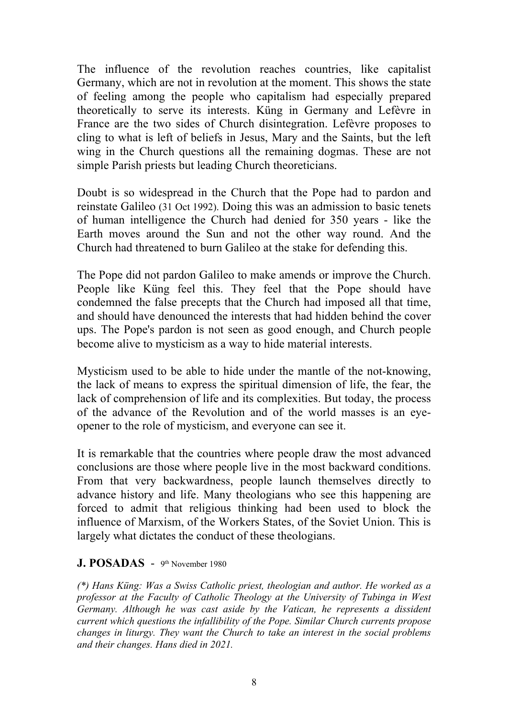The influence of the revolution reaches countries, like capitalist Germany, which are not in revolution at the moment. This shows the state of feeling among the people who capitalism had especially prepared theoretically to serve its interests. Küng in Germany and Lefèvre in France are the two sides of Church disintegration. Lefèvre proposes to cling to what is left of beliefs in Jesus, Mary and the Saints, but the left wing in the Church questions all the remaining dogmas. These are not simple Parish priests but leading Church theoreticians.

Doubt is so widespread in the Church that the Pope had to pardon and reinstate Galileo (31 Oct 1992). Doing this was an admission to basic tenets of human intelligence the Church had denied for 350 years - like the Earth moves around the Sun and not the other way round. And the Church had threatened to burn Galileo at the stake for defending this.

The Pope did not pardon Galileo to make amends or improve the Church. People like Küng feel this. They feel that the Pope should have condemned the false precepts that the Church had imposed all that time, and should have denounced the interests that had hidden behind the cover ups. The Pope's pardon is not seen as good enough, and Church people become alive to mysticism as a way to hide material interests.

Mysticism used to be able to hide under the mantle of the not-knowing, the lack of means to express the spiritual dimension of life, the fear, the lack of comprehension of life and its complexities. But today, the process of the advance of the Revolution and of the world masses is an eyeopener to the role of mysticism, and everyone can see it.

It is remarkable that the countries where people draw the most advanced conclusions are those where people live in the most backward conditions. From that very backwardness, people launch themselves directly to advance history and life. Many theologians who see this happening are forced to admit that religious thinking had been used to block the influence of Marxism, of the Workers States, of the Soviet Union. This is largely what dictates the conduct of these theologians.

#### **J. POSADAS** -9th November 1980

*(\*) Hans Küng: Was a Swiss Catholic priest, theologian and author. He worked as a professor at the Faculty of Catholic Theology at the University of Tubinga in West Germany. Although he was cast aside by the Vatican, he represents a dissident current which questions the infallibility of the Pope. Similar Church currents propose changes in liturgy. They want the Church to take an interest in the social problems and their changes. Hans died in 2021.*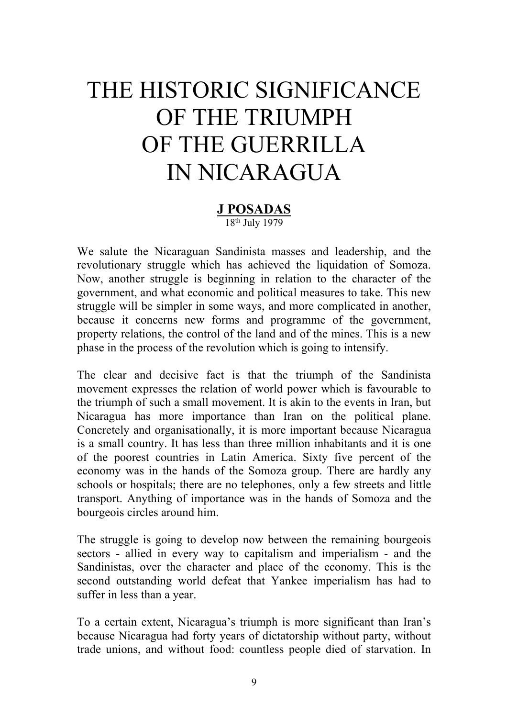## THE HISTORIC SIGNIFICANCE OF THE TRIUMPH OF THE GUERRILLA IN NICARAGUA

#### **J POSADAS** 18th July 1979

We salute the Nicaraguan Sandinista masses and leadership, and the revolutionary struggle which has achieved the liquidation of Somoza. Now, another struggle is beginning in relation to the character of the government, and what economic and political measures to take. This new struggle will be simpler in some ways, and more complicated in another, because it concerns new forms and programme of the government, property relations, the control of the land and of the mines. This is a new phase in the process of the revolution which is going to intensify.

The clear and decisive fact is that the triumph of the Sandinista movement expresses the relation of world power which is favourable to the triumph of such a small movement. It is akin to the events in Iran, but Nicaragua has more importance than Iran on the political plane. Concretely and organisationally, it is more important because Nicaragua is a small country. It has less than three million inhabitants and it is one of the poorest countries in Latin America. Sixty five percent of the economy was in the hands of the Somoza group. There are hardly any schools or hospitals; there are no telephones, only a few streets and little transport. Anything of importance was in the hands of Somoza and the bourgeois circles around him.

The struggle is going to develop now between the remaining bourgeois sectors - allied in every way to capitalism and imperialism - and the Sandinistas, over the character and place of the economy. This is the second outstanding world defeat that Yankee imperialism has had to suffer in less than a year.

To a certain extent, Nicaragua's triumph is more significant than Iran's because Nicaragua had forty years of dictatorship without party, without trade unions, and without food: countless people died of starvation. In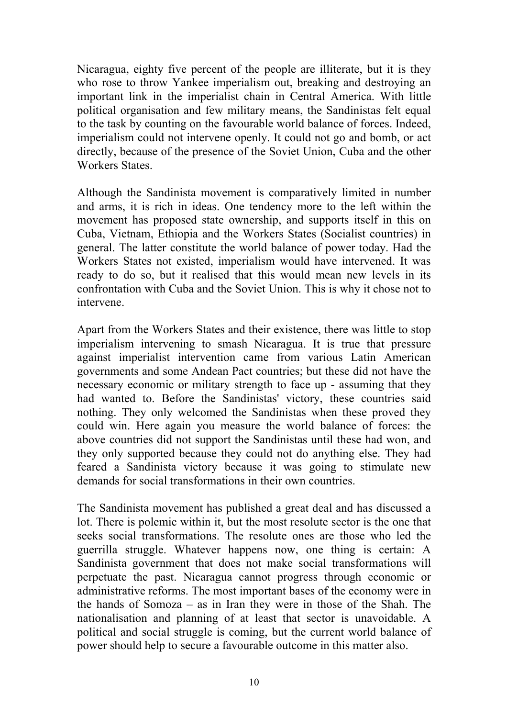Nicaragua, eighty five percent of the people are illiterate, but it is they who rose to throw Yankee imperialism out, breaking and destroying an important link in the imperialist chain in Central America. With little political organisation and few military means, the Sandinistas felt equal to the task by counting on the favourable world balance of forces. Indeed, imperialism could not intervene openly. It could not go and bomb, or act directly, because of the presence of the Soviet Union, Cuba and the other Workers States.

Although the Sandinista movement is comparatively limited in number and arms, it is rich in ideas. One tendency more to the left within the movement has proposed state ownership, and supports itself in this on Cuba, Vietnam, Ethiopia and the Workers States (Socialist countries) in general. The latter constitute the world balance of power today. Had the Workers States not existed, imperialism would have intervened. It was ready to do so, but it realised that this would mean new levels in its confrontation with Cuba and the Soviet Union. This is why it chose not to intervene.

Apart from the Workers States and their existence, there was little to stop imperialism intervening to smash Nicaragua. It is true that pressure against imperialist intervention came from various Latin American governments and some Andean Pact countries; but these did not have the necessary economic or military strength to face up - assuming that they had wanted to. Before the Sandinistas' victory, these countries said nothing. They only welcomed the Sandinistas when these proved they could win. Here again you measure the world balance of forces: the above countries did not support the Sandinistas until these had won, and they only supported because they could not do anything else. They had feared a Sandinista victory because it was going to stimulate new demands for social transformations in their own countries.

The Sandinista movement has published a great deal and has discussed a lot. There is polemic within it, but the most resolute sector is the one that seeks social transformations. The resolute ones are those who led the guerrilla struggle. Whatever happens now, one thing is certain: A Sandinista government that does not make social transformations will perpetuate the past. Nicaragua cannot progress through economic or administrative reforms. The most important bases of the economy were in the hands of Somoza – as in Iran they were in those of the Shah. The nationalisation and planning of at least that sector is unavoidable. A political and social struggle is coming, but the current world balance of power should help to secure a favourable outcome in this matter also.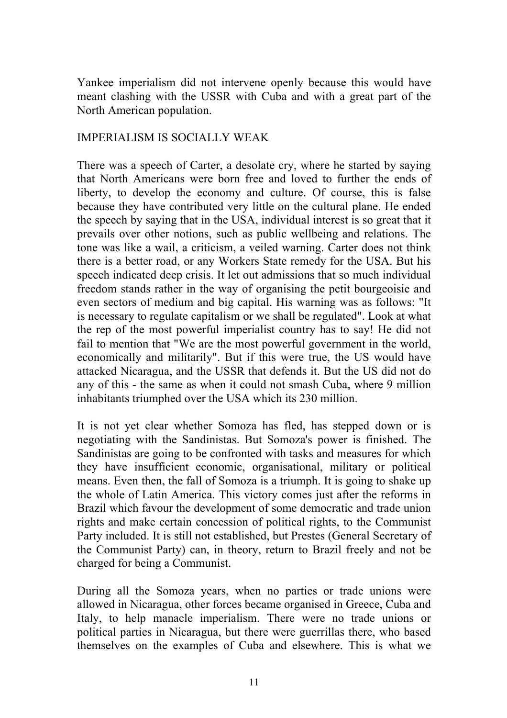Yankee imperialism did not intervene openly because this would have meant clashing with the USSR with Cuba and with a great part of the North American population.

#### IMPERIALISM IS SOCIALLY WEAK

There was a speech of Carter, a desolate cry, where he started by saying that North Americans were born free and loved to further the ends of liberty, to develop the economy and culture. Of course, this is false because they have contributed very little on the cultural plane. He ended the speech by saying that in the USA, individual interest is so great that it prevails over other notions, such as public wellbeing and relations. The tone was like a wail, a criticism, a veiled warning. Carter does not think there is a better road, or any Workers State remedy for the USA. But his speech indicated deep crisis. It let out admissions that so much individual freedom stands rather in the way of organising the petit bourgeoisie and even sectors of medium and big capital. His warning was as follows: "It is necessary to regulate capitalism or we shall be regulated". Look at what the rep of the most powerful imperialist country has to say! He did not fail to mention that "We are the most powerful government in the world, economically and militarily". But if this were true, the US would have attacked Nicaragua, and the USSR that defends it. But the US did not do any of this - the same as when it could not smash Cuba, where 9 million inhabitants triumphed over the USA which its 230 million.

It is not yet clear whether Somoza has fled, has stepped down or is negotiating with the Sandinistas. But Somoza's power is finished. The Sandinistas are going to be confronted with tasks and measures for which they have insufficient economic, organisational, military or political means. Even then, the fall of Somoza is a triumph. It is going to shake up the whole of Latin America. This victory comes just after the reforms in Brazil which favour the development of some democratic and trade union rights and make certain concession of political rights, to the Communist Party included. It is still not established, but Prestes (General Secretary of the Communist Party) can, in theory, return to Brazil freely and not be charged for being a Communist.

During all the Somoza years, when no parties or trade unions were allowed in Nicaragua, other forces became organised in Greece, Cuba and Italy, to help manacle imperialism. There were no trade unions or political parties in Nicaragua, but there were guerrillas there, who based themselves on the examples of Cuba and elsewhere. This is what we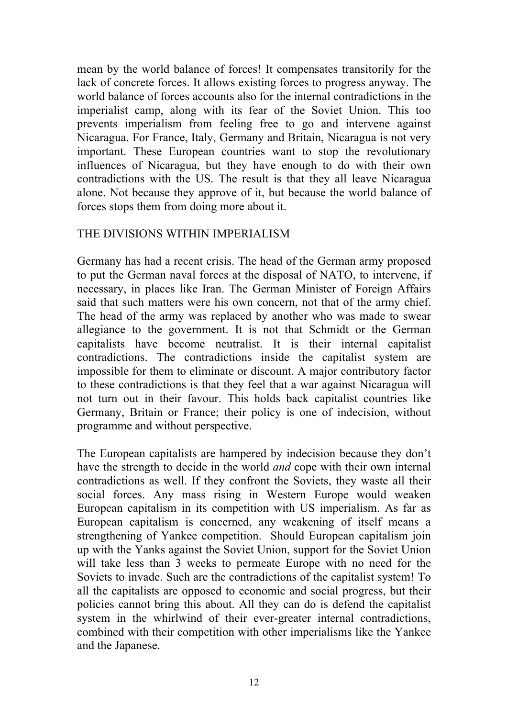mean by the world balance of forces! It compensates transitorily for the lack of concrete forces. It allows existing forces to progress anyway. The world balance of forces accounts also for the internal contradictions in the imperialist camp, along with its fear of the Soviet Union. This too prevents imperialism from feeling free to go and intervene against Nicaragua. For France, Italy, Germany and Britain, Nicaragua is not very important. These European countries want to stop the revolutionary influences of Nicaragua, but they have enough to do with their own contradictions with the US. The result is that they all leave Nicaragua alone. Not because they approve of it, but because the world balance of forces stops them from doing more about it.

#### THE DIVISIONS WITHIN IMPERIALISM

Germany has had a recent crisis. The head of the German army proposed to put the German naval forces at the disposal of NATO, to intervene, if necessary, in places like Iran. The German Minister of Foreign Affairs said that such matters were his own concern, not that of the army chief. The head of the army was replaced by another who was made to swear allegiance to the government. It is not that Schmidt or the German capitalists have become neutralist. It is their internal capitalist contradictions. The contradictions inside the capitalist system are impossible for them to eliminate or discount. A major contributory factor to these contradictions is that they feel that a war against Nicaragua will not turn out in their favour. This holds back capitalist countries like Germany, Britain or France; their policy is one of indecision, without programme and without perspective.

The European capitalists are hampered by indecision because they don't have the strength to decide in the world *and* cope with their own internal contradictions as well. If they confront the Soviets, they waste all their social forces. Any mass rising in Western Europe would weaken European capitalism in its competition with US imperialism. As far as European capitalism is concerned, any weakening of itself means a strengthening of Yankee competition. Should European capitalism join up with the Yanks against the Soviet Union, support for the Soviet Union will take less than 3 weeks to permeate Europe with no need for the Soviets to invade. Such are the contradictions of the capitalist system! To all the capitalists are opposed to economic and social progress, but their policies cannot bring this about. All they can do is defend the capitalist system in the whirlwind of their ever-greater internal contradictions, combined with their competition with other imperialisms like the Yankee and the Japanese.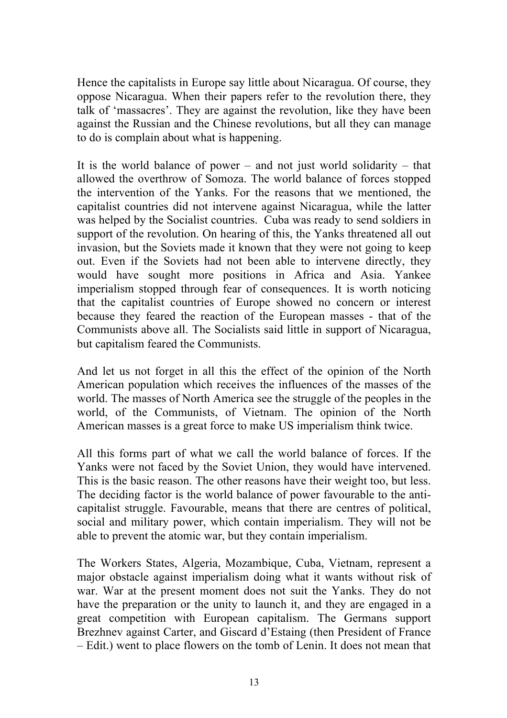Hence the capitalists in Europe say little about Nicaragua. Of course, they oppose Nicaragua. When their papers refer to the revolution there, they talk of 'massacres'. They are against the revolution, like they have been against the Russian and the Chinese revolutions, but all they can manage to do is complain about what is happening.

It is the world balance of power – and not just world solidarity – that allowed the overthrow of Somoza. The world balance of forces stopped the intervention of the Yanks. For the reasons that we mentioned, the capitalist countries did not intervene against Nicaragua, while the latter was helped by the Socialist countries. Cuba was ready to send soldiers in support of the revolution. On hearing of this, the Yanks threatened all out invasion, but the Soviets made it known that they were not going to keep out. Even if the Soviets had not been able to intervene directly, they would have sought more positions in Africa and Asia. Yankee imperialism stopped through fear of consequences. It is worth noticing that the capitalist countries of Europe showed no concern or interest because they feared the reaction of the European masses - that of the Communists above all. The Socialists said little in support of Nicaragua, but capitalism feared the Communists.

And let us not forget in all this the effect of the opinion of the North American population which receives the influences of the masses of the world. The masses of North America see the struggle of the peoples in the world, of the Communists, of Vietnam. The opinion of the North American masses is a great force to make US imperialism think twice.

All this forms part of what we call the world balance of forces. If the Yanks were not faced by the Soviet Union, they would have intervened. This is the basic reason. The other reasons have their weight too, but less. The deciding factor is the world balance of power favourable to the anticapitalist struggle. Favourable, means that there are centres of political, social and military power, which contain imperialism. They will not be able to prevent the atomic war, but they contain imperialism.

The Workers States, Algeria, Mozambique, Cuba, Vietnam, represent a major obstacle against imperialism doing what it wants without risk of war. War at the present moment does not suit the Yanks. They do not have the preparation or the unity to launch it, and they are engaged in a great competition with European capitalism. The Germans support Brezhnev against Carter, and Giscard d'Estaing (then President of France – Edit.) went to place flowers on the tomb of Lenin. It does not mean that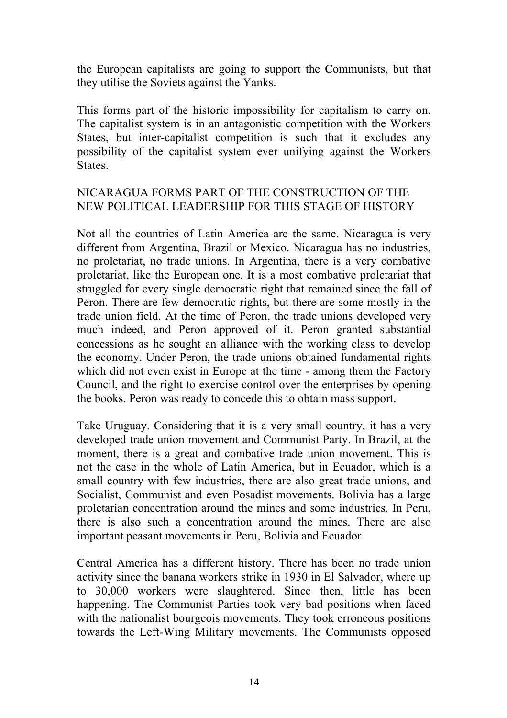the European capitalists are going to support the Communists, but that they utilise the Soviets against the Yanks.

This forms part of the historic impossibility for capitalism to carry on. The capitalist system is in an antagonistic competition with the Workers States, but inter-capitalist competition is such that it excludes any possibility of the capitalist system ever unifying against the Workers **States** 

#### NICARAGUA FORMS PART OF THE CONSTRUCTION OF THE NEW POLITICAL LEADERSHIP FOR THIS STAGE OF HISTORY

Not all the countries of Latin America are the same. Nicaragua is very different from Argentina, Brazil or Mexico. Nicaragua has no industries, no proletariat, no trade unions. In Argentina, there is a very combative proletariat, like the European one. It is a most combative proletariat that struggled for every single democratic right that remained since the fall of Peron. There are few democratic rights, but there are some mostly in the trade union field. At the time of Peron, the trade unions developed very much indeed, and Peron approved of it. Peron granted substantial concessions as he sought an alliance with the working class to develop the economy. Under Peron, the trade unions obtained fundamental rights which did not even exist in Europe at the time - among them the Factory Council, and the right to exercise control over the enterprises by opening the books. Peron was ready to concede this to obtain mass support.

Take Uruguay. Considering that it is a very small country, it has a very developed trade union movement and Communist Party. In Brazil, at the moment, there is a great and combative trade union movement. This is not the case in the whole of Latin America, but in Ecuador, which is a small country with few industries, there are also great trade unions, and Socialist, Communist and even Posadist movements. Bolivia has a large proletarian concentration around the mines and some industries. In Peru, there is also such a concentration around the mines. There are also important peasant movements in Peru, Bolivia and Ecuador.

Central America has a different history. There has been no trade union activity since the banana workers strike in 1930 in El Salvador, where up to 30,000 workers were slaughtered. Since then, little has been happening. The Communist Parties took very bad positions when faced with the nationalist bourgeois movements. They took erroneous positions towards the Left-Wing Military movements. The Communists opposed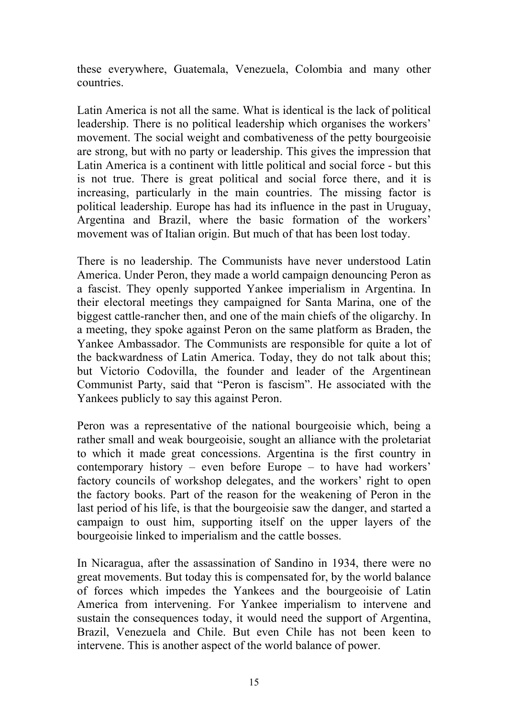these everywhere, Guatemala, Venezuela, Colombia and many other countries.

Latin America is not all the same. What is identical is the lack of political leadership. There is no political leadership which organises the workers' movement. The social weight and combativeness of the petty bourgeoisie are strong, but with no party or leadership. This gives the impression that Latin America is a continent with little political and social force - but this is not true. There is great political and social force there, and it is increasing, particularly in the main countries. The missing factor is political leadership. Europe has had its influence in the past in Uruguay, Argentina and Brazil, where the basic formation of the workers' movement was of Italian origin. But much of that has been lost today.

There is no leadership. The Communists have never understood Latin America. Under Peron, they made a world campaign denouncing Peron as a fascist. They openly supported Yankee imperialism in Argentina. In their electoral meetings they campaigned for Santa Marina, one of the biggest cattle-rancher then, and one of the main chiefs of the oligarchy. In a meeting, they spoke against Peron on the same platform as Braden, the Yankee Ambassador. The Communists are responsible for quite a lot of the backwardness of Latin America. Today, they do not talk about this; but Victorio Codovilla, the founder and leader of the Argentinean Communist Party, said that "Peron is fascism". He associated with the Yankees publicly to say this against Peron.

Peron was a representative of the national bourgeoisie which, being a rather small and weak bourgeoisie, sought an alliance with the proletariat to which it made great concessions. Argentina is the first country in contemporary history – even before Europe – to have had workers' factory councils of workshop delegates, and the workers' right to open the factory books. Part of the reason for the weakening of Peron in the last period of his life, is that the bourgeoisie saw the danger, and started a campaign to oust him, supporting itself on the upper layers of the bourgeoisie linked to imperialism and the cattle bosses.

In Nicaragua, after the assassination of Sandino in 1934, there were no great movements. But today this is compensated for, by the world balance of forces which impedes the Yankees and the bourgeoisie of Latin America from intervening. For Yankee imperialism to intervene and sustain the consequences today, it would need the support of Argentina, Brazil, Venezuela and Chile. But even Chile has not been keen to intervene. This is another aspect of the world balance of power.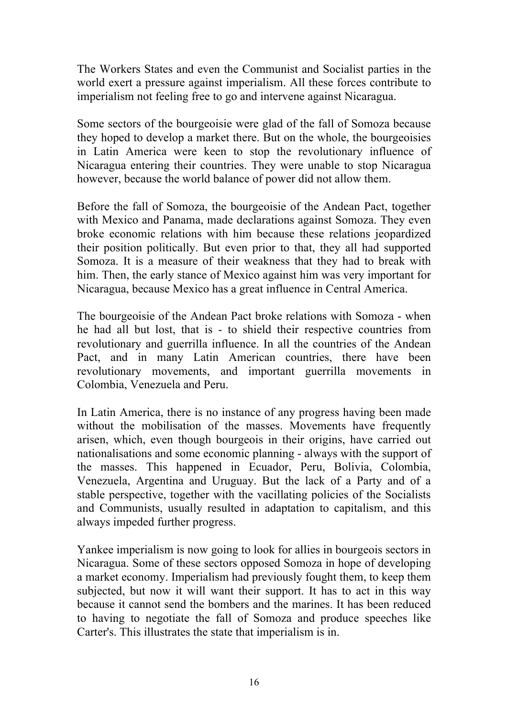The Workers States and even the Communist and Socialist parties in the world exert a pressure against imperialism. All these forces contribute to imperialism not feeling free to go and intervene against Nicaragua.

Some sectors of the bourgeoisie were glad of the fall of Somoza because they hoped to develop a market there. But on the whole, the bourgeoisies in Latin America were keen to stop the revolutionary influence of Nicaragua entering their countries. They were unable to stop Nicaragua however, because the world balance of power did not allow them.

Before the fall of Somoza, the bourgeoisie of the Andean Pact, together with Mexico and Panama, made declarations against Somoza. They even broke economic relations with him because these relations jeopardized their position politically. But even prior to that, they all had supported Somoza. It is a measure of their weakness that they had to break with him. Then, the early stance of Mexico against him was very important for Nicaragua, because Mexico has a great influence in Central America.

The bourgeoisie of the Andean Pact broke relations with Somoza - when he had all but lost, that is - to shield their respective countries from revolutionary and guerrilla influence. In all the countries of the Andean Pact, and in many Latin American countries, there have been revolutionary movements, and important guerrilla movements in Colombia, Venezuela and Peru.

In Latin America, there is no instance of any progress having been made without the mobilisation of the masses. Movements have frequently arisen, which, even though bourgeois in their origins, have carried out nationalisations and some economic planning - always with the support of the masses. This happened in Ecuador, Peru, Bolivia, Colombia, Venezuela, Argentina and Uruguay. But the lack of a Party and of a stable perspective, together with the vacillating policies of the Socialists and Communists, usually resulted in adaptation to capitalism, and this always impeded further progress.

Yankee imperialism is now going to look for allies in bourgeois sectors in Nicaragua. Some of these sectors opposed Somoza in hope of developing a market economy. Imperialism had previously fought them, to keep them subjected, but now it will want their support. It has to act in this way because it cannot send the bombers and the marines. It has been reduced to having to negotiate the fall of Somoza and produce speeches like Carter's. This illustrates the state that imperialism is in.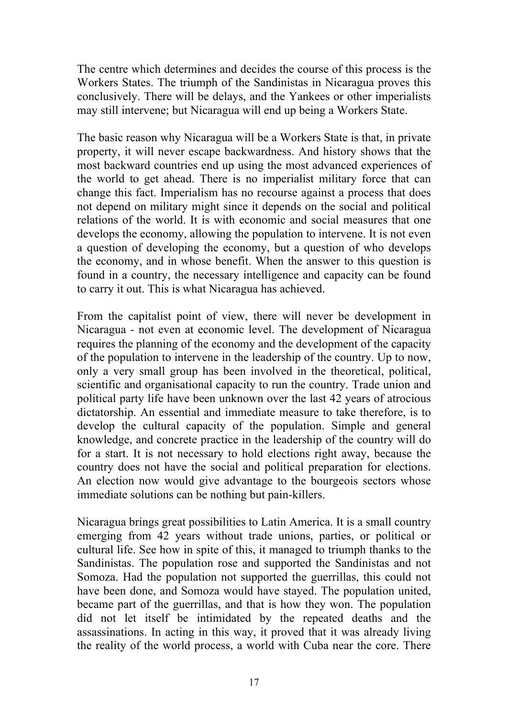The centre which determines and decides the course of this process is the Workers States. The triumph of the Sandinistas in Nicaragua proves this conclusively. There will be delays, and the Yankees or other imperialists may still intervene; but Nicaragua will end up being a Workers State.

The basic reason why Nicaragua will be a Workers State is that, in private property, it will never escape backwardness. And history shows that the most backward countries end up using the most advanced experiences of the world to get ahead. There is no imperialist military force that can change this fact. Imperialism has no recourse against a process that does not depend on military might since it depends on the social and political relations of the world. It is with economic and social measures that one develops the economy, allowing the population to intervene. It is not even a question of developing the economy, but a question of who develops the economy, and in whose benefit. When the answer to this question is found in a country, the necessary intelligence and capacity can be found to carry it out. This is what Nicaragua has achieved.

From the capitalist point of view, there will never be development in Nicaragua - not even at economic level. The development of Nicaragua requires the planning of the economy and the development of the capacity of the population to intervene in the leadership of the country. Up to now, only a very small group has been involved in the theoretical, political, scientific and organisational capacity to run the country. Trade union and political party life have been unknown over the last 42 years of atrocious dictatorship. An essential and immediate measure to take therefore, is to develop the cultural capacity of the population. Simple and general knowledge, and concrete practice in the leadership of the country will do for a start. It is not necessary to hold elections right away, because the country does not have the social and political preparation for elections. An election now would give advantage to the bourgeois sectors whose immediate solutions can be nothing but pain-killers.

Nicaragua brings great possibilities to Latin America. It is a small country emerging from 42 years without trade unions, parties, or political or cultural life. See how in spite of this, it managed to triumph thanks to the Sandinistas. The population rose and supported the Sandinistas and not Somoza. Had the population not supported the guerrillas, this could not have been done, and Somoza would have stayed. The population united, became part of the guerrillas, and that is how they won. The population did not let itself be intimidated by the repeated deaths and the assassinations. In acting in this way, it proved that it was already living the reality of the world process, a world with Cuba near the core. There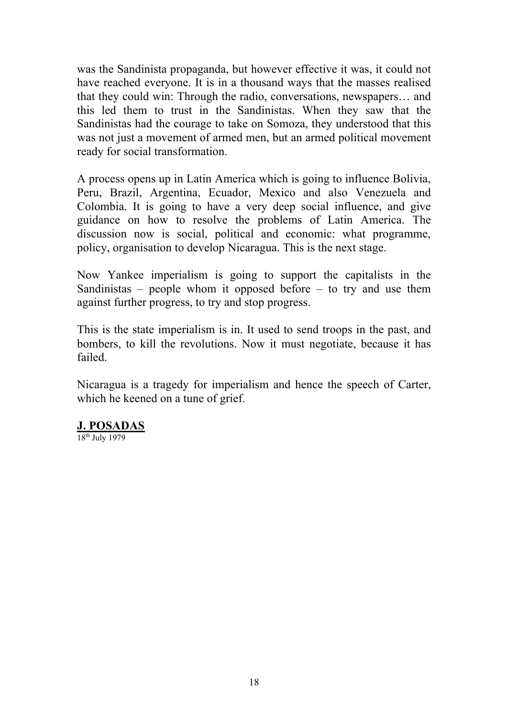was the Sandinista propaganda, but however effective it was, it could not have reached everyone. It is in a thousand ways that the masses realised that they could win: Through the radio, conversations, newspapers… and this led them to trust in the Sandinistas. When they saw that the Sandinistas had the courage to take on Somoza, they understood that this was not just a movement of armed men, but an armed political movement ready for social transformation.

A process opens up in Latin America which is going to influence Bolivia, Peru, Brazil, Argentina, Ecuador, Mexico and also Venezuela and Colombia. It is going to have a very deep social influence, and give guidance on how to resolve the problems of Latin America. The discussion now is social, political and economic: what programme, policy, organisation to develop Nicaragua. This is the next stage.

Now Yankee imperialism is going to support the capitalists in the Sandinistas – people whom it opposed before – to try and use them against further progress, to try and stop progress.

This is the state imperialism is in. It used to send troops in the past, and bombers, to kill the revolutions. Now it must negotiate, because it has failed.

Nicaragua is a tragedy for imperialism and hence the speech of Carter, which he keened on a tune of grief.

#### **J. POSADAS**

18th July 1979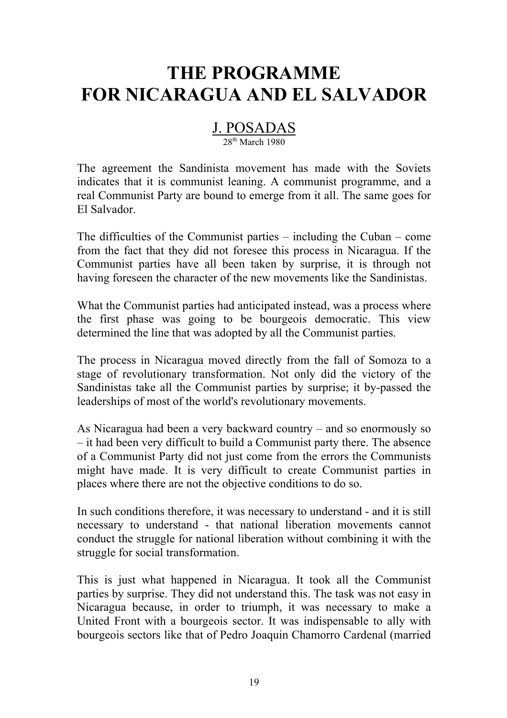## **THE PROGRAMME FOR NICARAGUA AND EL SALVADOR**

#### J. POSADAS

#### 28<sup>th</sup> March 1980

The agreement the Sandinista movement has made with the Soviets indicates that it is communist leaning. A communist programme, and a real Communist Party are bound to emerge from it all. The same goes for El Salvador.

The difficulties of the Communist parties – including the Cuban – come from the fact that they did not foresee this process in Nicaragua. If the Communist parties have all been taken by surprise, it is through not having foreseen the character of the new movements like the Sandinistas.

What the Communist parties had anticipated instead, was a process where the first phase was going to be bourgeois democratic. This view determined the line that was adopted by all the Communist parties.

The process in Nicaragua moved directly from the fall of Somoza to a stage of revolutionary transformation. Not only did the victory of the Sandinistas take all the Communist parties by surprise; it by-passed the leaderships of most of the world's revolutionary movements.

As Nicaragua had been a very backward country – and so enormously so – it had been very difficult to build a Communist party there. The absence of a Communist Party did not just come from the errors the Communists might have made. It is very difficult to create Communist parties in places where there are not the objective conditions to do so.

In such conditions therefore, it was necessary to understand - and it is still necessary to understand - that national liberation movements cannot conduct the struggle for national liberation without combining it with the struggle for social transformation.

This is just what happened in Nicaragua. It took all the Communist parties by surprise. They did not understand this. The task was not easy in Nicaragua because, in order to triumph, it was necessary to make a United Front with a bourgeois sector. It was indispensable to ally with bourgeois sectors like that of Pedro Joaquin Chamorro Cardenal (married